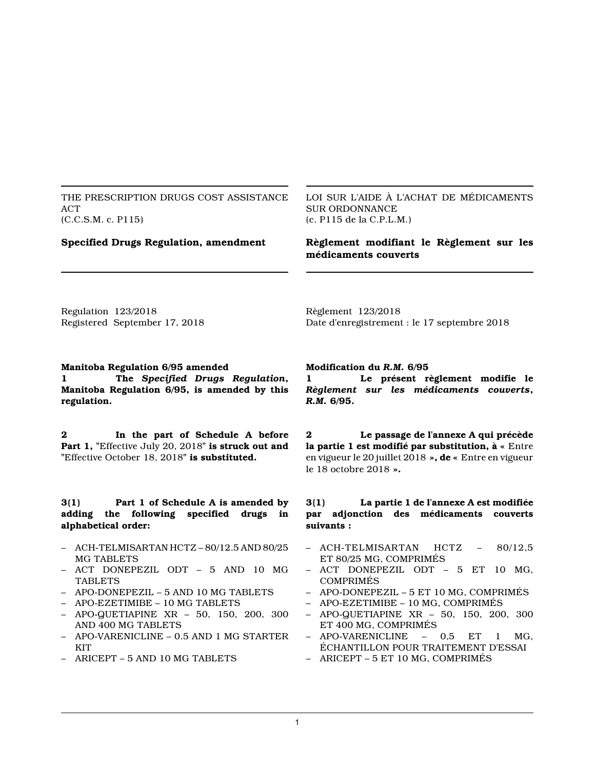THE PRESCRIPTION DRUGS COST ASSISTANCE ACT (C.C.S.M. c. P115)

LOI SUR L'AIDE À L'ACHAT DE MÉDICAMENTS SUR ORDONNANCE (c. P115 de la C.P.L.M.)

# **Specified Drugs Regulation, amendment**

**Règlement modifiant le Règlement sur les médicaments couverts**

Regulation 123/2018 Registered September 17, 2018 Règlement 123/2018 Date d'enregistrement : le 17 septembre 2018

# **Manitoba Regulation 6/95 amended**

**1 The** *Specified Drugs Regulation***, Manitoba Regulation 6/95, is amended by this regulation.**

**2 In the part of Schedule A before Part 1, "**Effective July 20, 2018**" is struck out and "**Effective October 18, 2018**" is substituted.**

### **3(1) Part 1 of Schedule A is amended by adding the following specified drugs in alphabetical order:**

- ACH-TELMISARTAN HCTZ 80/12.5 AND 80/25 MG TABLETS
- ACT DONEPEZIL ODT 5 AND 10 MG TABLETS
- APO-DONEPEZIL 5 AND 10 MG TABLETS
- APO-EZETIMIBE 10 MG TABLETS
- APO-QUETIAPINE XR 50, 150, 200, 300 AND 400 MG TABLETS
- APO-VARENICLINE 0.5 AND 1 MG STARTER **KIT**
- ARICEPT 5 AND 10 MG TABLETS

#### **Modification du** *R.M.* **6/95**

**1 Le présent règlement modifie le** *Règlement sur les médicaments couverts***,** *R.M.* **6/95.**

**2 Le passage de l'annexe A qui précède la partie 1 est modifié par substitution, à «** Entre en vigueur le 20 juillet 2018 **», de «** Entre en vigueur le 18 octobre 2018 **».**

### **3(1) La partie 1 de l'annexe A est modifiée par adjonction des médicaments couverts suivants :**

- ACH-TELMISARTAN HCTZ 80/12,5 ET 80/25 MG, COMPRIMÉS
- ACT DONEPEZIL ODT 5 ET 10 MG, COMPRIMÉS
- APO-DONEPEZIL 5 ET 10 MG, COMPRIMÉS
- APO-EZETIMIBE 10 MG, COMPRIMÉS
- APO-QUETIAPINE XR 50, 150, 200, 300 ET 400 MG, COMPRIMÉS
- APO-VARENICLINE 0,5 ET 1 MG, ÉCHANTILLON POUR TRAITEMENT D'ESSAI
- ARICEPT 5 ET 10 MG, COMPRIMÉS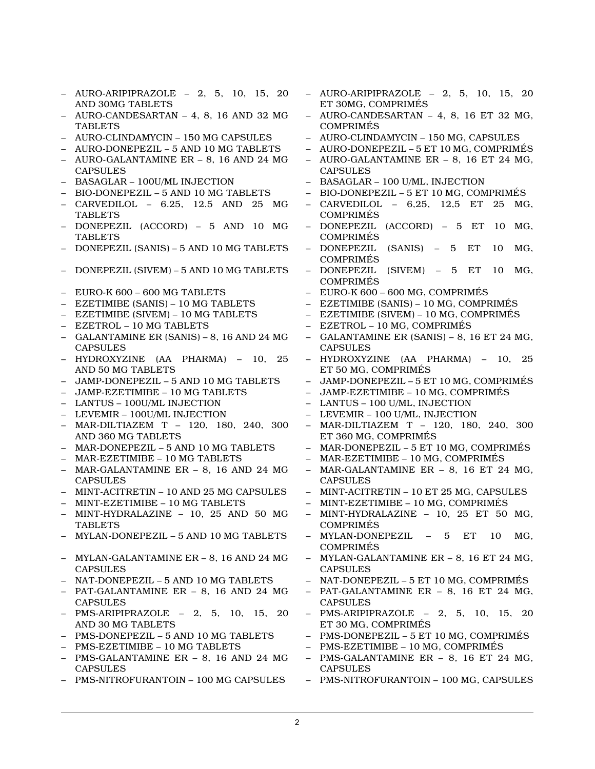- AURO-ARIPIPRAZOLE 2, 5, 10, 15, 20 AND 30MG TABLETS
- AURO-CANDESARTAN 4, 8, 16 AND 32 MG **TABLETS**
- AURO-CLINDAMYCIN 150 MG CAPSULES
- AURO-DONEPEZIL 5 AND 10 MG TABLETS
- AURO-GALANTAMINE ER 8, 16 AND 24 MG **CAPSULES**
- BASAGLAR 100U/ML INJECTION
- BIO-DONEPEZIL 5 AND 10 MG TABLETS
- CARVEDILOL 6.25, 12.5 AND 25 MG TABLETS
- DONEPEZIL (ACCORD) 5 AND 10 MG **TABLETS**
- DONEPEZIL (SANIS) 5 AND 10 MG TABLETS
- DONEPEZIL (SIVEM) 5 AND 10 MG TABLETS
- EURO-K 600 600 MG TABLETS
- EZETIMIBE (SANIS) 10 MG TABLETS
- EZETIMIBE (SIVEM) 10 MG TABLETS
- EZETROL 10 MG TABLETS
- GALANTAMINE ER (SANIS) 8, 16 AND 24 MG CAPSULES
- HYDROXYZINE (AA PHARMA) 10, 25 AND 50 MG TABLETS
- JAMP-DONEPEZIL 5 AND 10 MG TABLETS
- JAMP-EZETIMIBE 10 MG TABLETS
- LANTUS 100U/ML INJECTION
- LEVEMIR 100U/ML INJECTION
- MAR-DILTIAZEM T 120, 180, 240, 300 AND 360 MG TABLETS
- MAR-DONEPEZIL 5 AND 10 MG TABLETS
- MAR-EZETIMIBE 10 MG TABLETS
- MAR-GALANTAMINE ER 8, 16 AND 24 MG **CAPSULES**
- MINT-ACITRETIN 10 AND 25 MG CAPSULES
- MINT-EZETIMIBE 10 MG TABLETS
- MINT-HYDRALAZINE 10, 25 AND 50 MG TABLETS
- MYLAN-DONEPEZIL 5 AND 10 MG TABLETS
- MYLAN-GALANTAMINE ER 8, 16 AND 24 MG CAPSULES
- NAT-DONEPEZIL 5 AND 10 MG TABLETS
- PAT-GALANTAMINE ER 8, 16 AND 24 MG CAPSULES
- PMS-ARIPIPRAZOLE 2, 5, 10, 15, 20 AND 30 MG TABLETS
- PMS-DONEPEZIL 5 AND 10 MG TABLETS
- PMS-EZETIMIBE 10 MG TABLETS
- PMS-GALANTAMINE ER 8, 16 AND 24 MG CAPSULES
- PMS-NITROFURANTOIN 100 MG CAPSULES
- AURO-ARIPIPRAZOLE 2, 5, 10, 15, 20 ET 30MG, COMPRIMÉS
- $-$  AURO-CANDESARTAN  $-$  4, 8, 16 ET 32 MG, COMPRIMÉS
- AURO-CLINDAMYCIN 150 MG, CAPSULES
- AURO-DONEPEZIL 5 ET 10 MG, COMPRIMÉS
- AURO-GALANTAMINE ER 8, 16 ET 24 MG, **CAPSULES**
- BASAGLAR 100 U/ML, INJECTION
- BIO-DONEPEZIL 5 ET 10 MG, COMPRIMÉS
- CARVEDILOL 6,25, 12,5 ET 25 MG, COMPRIMÉS
- DONEPEZIL (ACCORD) 5 ET 10 MG, COMPRIMÉS
- DONEPEZIL (SANIS) 5 ET 10 MG, COMPRIMÉS
- DONEPEZIL (SIVEM) 5 ET 10 MG, COMPRIMÉS
- EURO-K 600 600 MG, COMPRIMÉS
- EZETIMIBE (SANIS) 10 MG, COMPRIMÉS
- EZETIMIBE (SIVEM) 10 MG, COMPRIMÉS
- EZETROL 10 MG, COMPRIMÉS
- GALANTAMINE ER (SANIS) 8, 16 ET 24 MG, CAPSULES
- HYDROXYZINE (AA PHARMA) 10, 25 ET 50 MG, COMPRIMÉS
- JAMP-DONEPEZIL 5 ET 10 MG, COMPRIMÉS
- JAMP-EZETIMIBE 10 MG, COMPRIMÉS
- LANTUS 100 U/ML, INJECTION
- LEVEMIR 100 U/ML, INJECTION
- MAR-DILTIAZEM T 120, 180, 240, 300 ET 360 MG, COMPRIMÉS
- MAR-DONEPEZIL 5 ET 10 MG, COMPRIMÉS
- MAR-EZETIMIBE 10 MG, COMPRIMÉS
- MAR-GALANTAMINE ER 8, 16 ET 24 MG, **CAPSULES**
- MINT-ACITRETIN 10 ET 25 MG, CAPSULES
- MINT-EZETIMIBE 10 MG, COMPRIMÉS
- MINT-HYDRALAZINE 10, 25 ET 50 MG, COMPRIMÉS
- MYLAN-DONEPEZIL 5 ET 10 MG, COMPRIMÉS
- MYLAN-GALANTAMINE ER 8, 16 ET 24 MG, CAPSULES
- NAT-DONEPEZIL 5 ET 10 MG, COMPRIMÉS
- PAT-GALANTAMINE ER 8, 16 ET 24 MG, CAPSULES
- PMS-ARIPIPRAZOLE 2, 5, 10, 15, 20 ET 30 MG, COMPRIMÉS
- PMS-DONEPEZIL 5 ET 10 MG, COMPRIMÉS
- PMS-EZETIMIBE 10 MG, COMPRIMÉS
- PMS-GALANTAMINE ER 8, 16 ET 24 MG, **CAPSULES**
- PMS-NITROFURANTOIN 100 MG, CAPSULES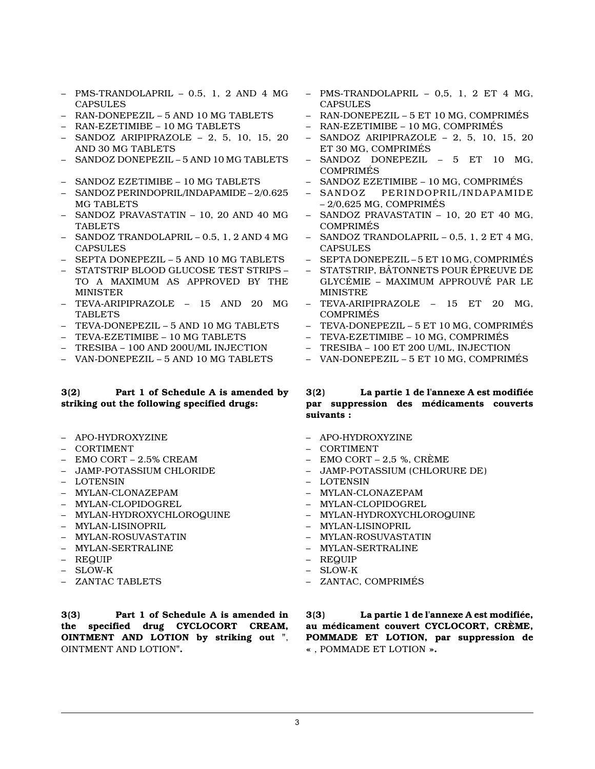- PMS-TRANDOLAPRIL 0.5, 1, 2 AND 4 MG CAPSULES
- RAN-DONEPEZIL 5 AND 10 MG TABLETS
- RAN-EZETIMIBE 10 MG TABLETS
- SANDOZ ARIPIPRAZOLE 2, 5, 10, 15, 20 AND 30 MG TABLETS
- SANDOZ DONEPEZIL 5 AND 10 MG TABLETS
- SANDOZ EZETIMIBE 10 MG TABLETS
- SANDOZ PERINDOPRIL/INDAPAMIDE 2/0.625 MG TABLETS
- SANDOZ PRAVASTATIN 10, 20 AND 40 MG **TABLETS**
- SANDOZ TRANDOLAPRIL 0.5, 1, 2 AND 4 MG CAPSULES
- SEPTA DONEPEZIL 5 AND 10 MG TABLETS
- STATSTRIP BLOOD GLUCOSE TEST STRIPS TO A MAXIMUM AS APPROVED BY THE **MINISTER**
- TEVA-ARIPIPRAZOLE 15 AND 20 MG **TABLETS**
- TEVA-DONEPEZIL 5 AND 10 MG TABLETS
- TEVA-EZETIMIBE 10 MG TABLETS
- TRESIBA 100 AND 200U/ML INJECTION
- VAN-DONEPEZIL 5 AND 10 MG TABLETS

# **3(2) Part 1 of Schedule A is amended by striking out the following specified drugs:**

- APO-HYDROXYZINE
- CORTIMENT
- EMO CORT 2.5% CREAM
- JAMP-POTASSIUM CHLORIDE
- LOTENSIN
- MYLAN-CLONAZEPAM
- MYLAN-CLOPIDOGREL
- MYLAN-HYDROXYCHLOROQUINE
- MYLAN-LISINOPRIL
- MYLAN-ROSUVASTATIN
- MYLAN-SERTRALINE
- REQUIP
- SLOW-K
- ZANTAC TABLETS

**3(3) Part 1 of Schedule A is amended in the specified drug CYCLOCORT CREAM, OINTMENT AND LOTION by striking out "**, OINTMENT AND LOTION**".**

- $-$  PMS-TRANDOLAPRIL  $-$  0.5, 1, 2 ET 4 MG, CAPSULES
- RAN-DONEPEZIL 5 ET 10 MG, COMPRIMÉS
- RAN-EZETIMIBE 10 MG, COMPRIMÉS
- SANDOZ ARIPIPRAZOLE 2, 5, 10, 15, 20 ET 30 MG, COMPRIMÉS
- SANDOZ DONEPEZIL 5 ET 10 MG, COMPRIMÉS
- SANDOZ EZETIMIBE 10 MG, COMPRIMÉS
- SANDOZ PERINDOPRIL/INDAPAMIDE  $-2/0.625$  MG, COMPRIMÉS
- SANDOZ PRAVASTATIN 10, 20 ET 40 MG, COMPRIMÉS
- $-$  SANDOZ TRANDOLAPRIL  $-$  0.5, 1, 2 ET 4 MG. **CAPSULES**
- SEPTA DONEPEZIL 5 ET 10 MG, COMPRIMÉS
- STATSTRIP, BÂTONNETS POUR ÉPREUVE DE GLYCÉMIE – MAXIMUM APPROUVÉ PAR LE MINISTRE
- TEVA-ARIPIPRAZOLE 15 ET 20 MG, COMPRIMÉS
- TEVA-DONEPEZIL 5 ET 10 MG, COMPRIMÉS
- TEVA-EZETIMIBE 10 MG, COMPRIMÉS
- TRESIBA 100 ET 200 U/ML, INJECTION
- VAN-DONEPEZIL 5 ET 10 MG, COMPRIMÉS

# **3(2) La partie 1 de l'annexe A est modifiée par suppression des médicaments couverts suivants :**

- APO-HYDROXYZINE
- CORTIMENT
- EMO CORT 2,5 %, CRÈME
- JAMP-POTASSIUM (CHLORURE DE)
- LOTENSIN
- MYLAN-CLONAZEPAM
- MYLAN-CLOPIDOGREL
- MYLAN-HYDROXYCHLOROQUINE
- MYLAN-LISINOPRIL
- MYLAN-ROSUVASTATIN
- MYLAN-SERTRALINE
- REQUIP
- SLOW-K
- ZANTAC, COMPRIMÉS

**3(3) La partie 1 de l'annexe A est modifiée, au médicament couvert CYCLOCORT, CRÈME, POMMADE ET LOTION, par suppression de «** , POMMADE ET LOTION **».**